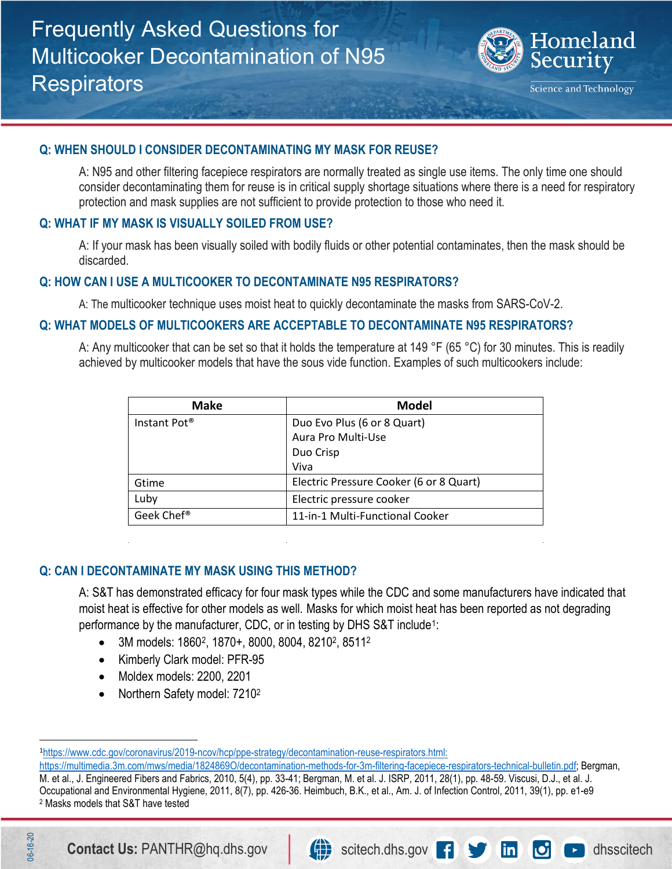

#### **Q: WHEN SHOULD I CONSIDER DECONTAMINATING MY MASK FOR REUSE?**

A: N95 and other filtering facepiece respirators are normally treated as single use items. The only time one should consider decontaminating them for reuse is in critical supply shortage situations where there is a need for respiratory protection and mask supplies are not sufficient to provide protection to those who need it.

### **Q: WHAT IF MY MASK IS VISUALLY SOILED FROM USE?**

 A: If your mask has been visually soiled with bodily fluids or other potential contaminates, then the mask should be discarded.

#### **Q: HOW CAN I USE A MULTICOOKER TO DECONTAMINATE N95 RESPIRATORS?**

A: The multicooker technique uses moist heat to quickly decontaminate the masks from SARS-CoV-2.

### **Q: WHAT MODELS OF MULTICOOKERS ARE ACCEPTABLE TO DECONTAMINATE N95 RESPIRATORS?**

A: Any multicooker that can be set so that it holds the temperature at 149 °F (65 °C) for 30 minutes. This is readily achieved by multicooker models that have the sous vide function. Examples of such multicookers include:

| <b>Make</b>              | <b>Model</b>                            |
|--------------------------|-----------------------------------------|
| Instant Pot <sup>®</sup> | Duo Evo Plus (6 or 8 Quart)             |
|                          | Aura Pro Multi-Use                      |
|                          | Duo Crisp                               |
|                          | Viva                                    |
| Gtime                    | Electric Pressure Cooker (6 or 8 Quart) |
| Luby                     | Electric pressure cooker                |
| Geek Chef <sup>®</sup>   | 11-in-1 Multi-Functional Cooker         |

### **Q: CAN I DECONTAMINATE MY MASK USING THIS METHOD?**

 A: S&T has demonstrated efficacy for four mask types while the CDC and some manufacturers have indicated that moist heat is effective for other models as well. Masks for which moist heat has been reported as not degrading performance by the manufacturer, CDC, or in testing by DHS S&T include<sup>[1](#page-0-0)</sup>:

- 3M models: 1860[2,](#page-0-1) 1870+, 8000, 8004, 82102, 85112
- Kimberly Clark model: PFR-95
- Moldex models: 2200, 2201
- Northern Safety model: 7210<sup>2</sup>

[https://multimedia.3m.com/mws/media/1824869O/decontamination-methods-for-3m-filtering-facepiece-respirators-technical-bulletin.pdf;](https://multimedia.3m.com/mws/media/1824869O/decontamination-methods-for-3m-filtering-facepiece-respirators-technical-bulletin.pdf) Bergman, M. et al., J. Engineered Fibers and Fabrics, 2010, 5(4), pp. 33-41; Bergman, M. et al. J. ISRP, 2011, 28(1), pp. 48-59. Viscusi, D.J., et al. J. Occupational and Environmental Hygiene, 2011, 8(7), pp. 426-36. Heimbuch, B.K., et al., Am. J. of Infection Control, 2011, 39(1), pp. e1-e9 2 Masks models that S&T have tested

 $\overline{a}$ 

<span id="page-0-1"></span>06-16-20



<span id="page-0-0"></span><sup>1</sup> [https://www.cdc.gov/coronavirus/2019-ncov/hcp/ppe-strategy/decontamination-reuse-respirators.html:](https://www.cdc.gov/coronavirus/2019-ncov/hcp/ppe-strategy/decontamination-reuse-respirators.html)